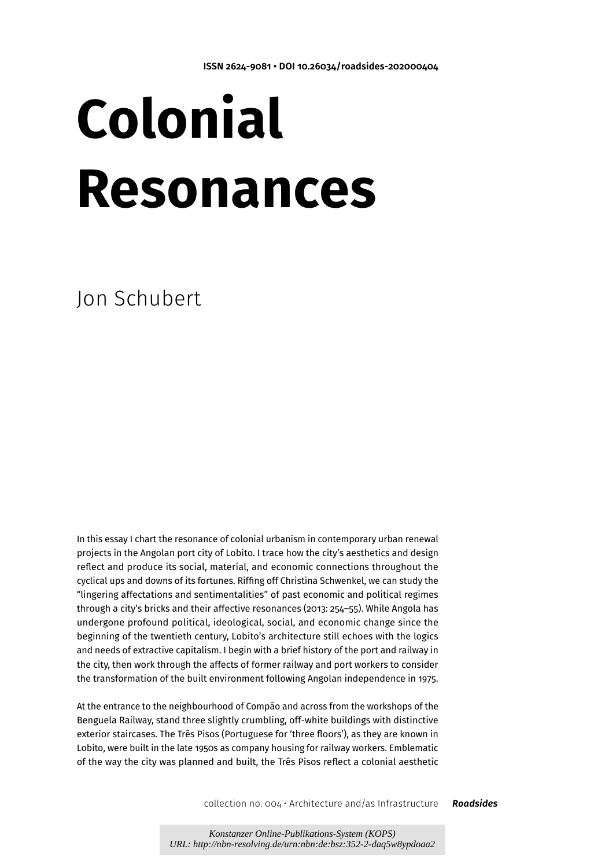# **Colonial Resonances**

Jon Schubert

In this essay I chart the resonance of colonial urbanism in contemporary urban renewal projects in the Angolan port city of Lobito. I trace how the city's aesthetics and design reflect and produce its social, material, and economic connections throughout the cyclical ups and downs of its fortunes. Riffing off Christina Schwenkel, we can study the "lingering affectations and sentimentalities" of past economic and political regimes through a city's bricks and their affective resonances (2013: 254–55). While Angola has undergone profound political, ideological, social, and economic change since the beginning of the twentieth century, Lobito's architecture still echoes with the logics and needs of extractive capitalism. I begin with a brief history of the port and railway in the city, then work through the affects of former railway and port workers to consider the transformation of the built environment following Angolan independence in 1975.

At the entrance to the neighbourhood of Compão and across from the workshops of the Benguela Railway, stand three slightly crumbling, off-white buildings with distinctive exterior staircases. The Três Pisos (Portuguese for 'three floors'), as they are known in Lobito, were built in the late 1950s as company housing for railway workers. Emblematic of the way the city was planned and built, the Três Pisos reflect a colonial aesthetic

collection no. 004 • Architecture and/as Infrastructure *Roadsides*

*Konstanzer Online-Publikations-System (KOPS) URL: http://nbn-resolving.de/urn:nbn:de:bsz:352-2-daq5w8ypdoaa2*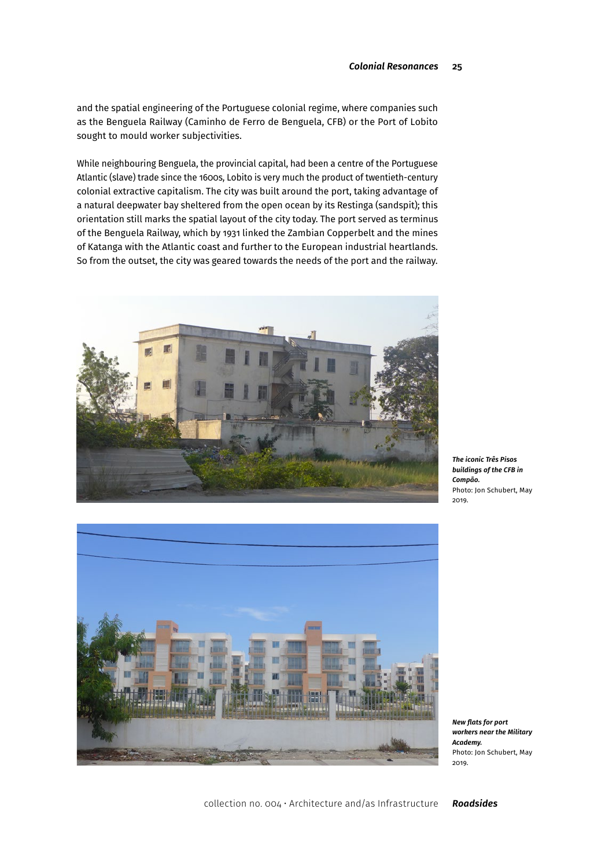and the spatial engineering of the Portuguese colonial regime, where companies such as the Benguela Railway (Caminho de Ferro de Benguela, CFB) or the Port of Lobito sought to mould worker subjectivities.

While neighbouring Benguela, the provincial capital, had been a centre of the Portuguese Atlantic (slave) trade since the 1600s, Lobito is very much the product of twentieth-century colonial extractive capitalism. The city was built around the port, taking advantage of a natural deepwater bay sheltered from the open ocean by its Restinga (sandspit); this orientation still marks the spatial layout of the city today. The port served as terminus of the Benguela Railway, which by 1931 linked the Zambian Copperbelt and the mines of Katanga with the Atlantic coast and further to the European industrial heartlands. So from the outset, the city was geared towards the needs of the port and the railway.







*New flats for port workers near the Military Academy.*  Photo: Jon Schubert, May 2019.

collection no. 004 • Architecture and/as Infrastructure *Roadsides*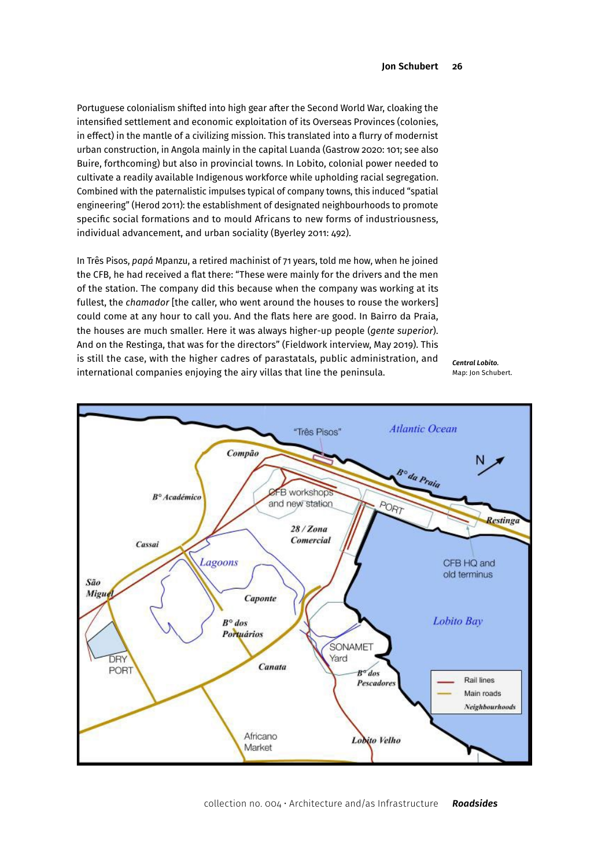Portuguese colonialism shifted into high gear after the Second World War, cloaking the intensified settlement and economic exploitation of its Overseas Provinces (colonies, in effect) in the mantle of a civilizing mission. This translated into a flurry of modernist urban construction, in Angola mainly in the capital Luanda (Gastrow 2020: 101; see also Buire, forthcoming) but also in provincial towns. In Lobito, colonial power needed to cultivate a readily available Indigenous workforce while upholding racial segregation. Combined with the paternalistic impulses typical of company towns, this induced "spatial engineering" (Herod 2011): the establishment of designated neighbourhoods to promote specific social formations and to mould Africans to new forms of industriousness, individual advancement, and urban sociality (Byerley 2011: 492).

In Três Pisos, *papá* Mpanzu, a retired machinist of 71 years, told me how, when he joined the CFB, he had received a flat there: "These were mainly for the drivers and the men of the station. The company did this because when the company was working at its fullest, the *chamador* [the caller, who went around the houses to rouse the workers] could come at any hour to call you. And the flats here are good. In Bairro da Praia, the houses are much smaller. Here it was always higher-up people (*gente superior*). And on the Restinga, that was for the directors" (Fieldwork interview, May 2019). This is still the case, with the higher cadres of parastatals, public administration, and international companies enjoying the airy villas that line the peninsula.

*Central Lobito.* Map: Jon Schubert.

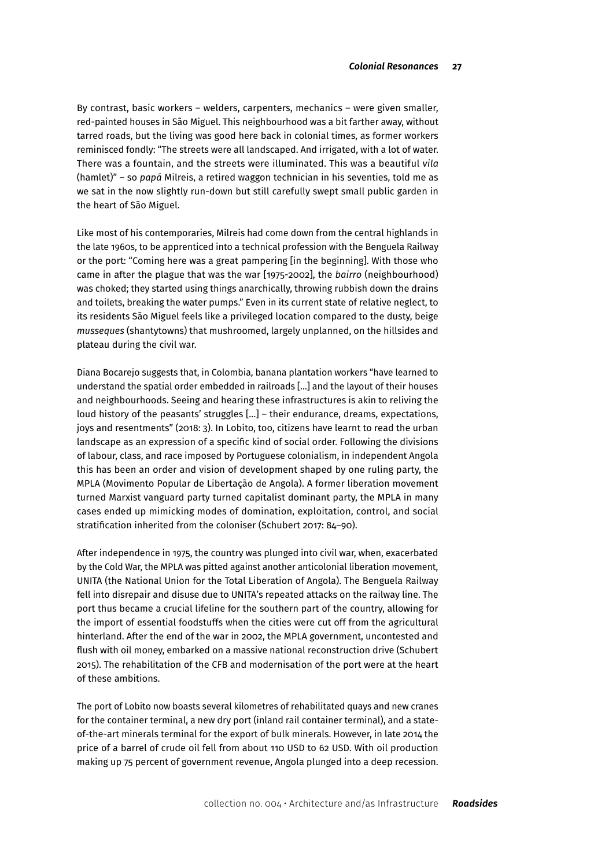By contrast, basic workers – welders, carpenters, mechanics – were given smaller, red-painted houses in São Miguel. This neighbourhood was a bit farther away, without tarred roads, but the living was good here back in colonial times, as former workers reminisced fondly: "The streets were all landscaped. And irrigated, with a lot of water. There was a fountain, and the streets were illuminated. This was a beautiful *vila* (hamlet)" – so *papá* Milreis, a retired waggon technician in his seventies, told me as we sat in the now slightly run-down but still carefully swept small public garden in the heart of São Miguel.

Like most of his contemporaries, Milreis had come down from the central highlands in the late 1960s, to be apprenticed into a technical profession with the Benguela Railway or the port: "Coming here was a great pampering [in the beginning]. With those who came in after the plague that was the war [1975-2002], the *bairro* (neighbourhood) was choked; they started using things anarchically, throwing rubbish down the drains and toilets, breaking the water pumps." Even in its current state of relative neglect, to its residents São Miguel feels like a privileged location compared to the dusty, beige *musseques* (shantytowns) that mushroomed, largely unplanned, on the hillsides and plateau during the civil war.

Diana Bocarejo suggests that, in Colombia, banana plantation workers "have learned to understand the spatial order embedded in railroads […] and the layout of their houses and neighbourhoods. Seeing and hearing these infrastructures is akin to reliving the loud history of the peasants' struggles […] – their endurance, dreams, expectations, joys and resentments" (2018: 3). In Lobito, too, citizens have learnt to read the urban landscape as an expression of a specific kind of social order. Following the divisions of labour, class, and race imposed by Portuguese colonialism, in independent Angola this has been an order and vision of development shaped by one ruling party, the MPLA (Movimento Popular de Libertação de Angola). A former liberation movement turned Marxist vanguard party turned capitalist dominant party, the MPLA in many cases ended up mimicking modes of domination, exploitation, control, and social stratification inherited from the coloniser (Schubert 2017: 84–90).

After independence in 1975, the country was plunged into civil war, when, exacerbated by the Cold War, the MPLA was pitted against another anticolonial liberation movement, UNITA (the National Union for the Total Liberation of Angola). The Benguela Railway fell into disrepair and disuse due to UNITA's repeated attacks on the railway line. The port thus became a crucial lifeline for the southern part of the country, allowing for the import of essential foodstuffs when the cities were cut off from the agricultural hinterland. After the end of the war in 2002, the MPLA government, uncontested and flush with oil money, embarked on a massive national reconstruction drive (Schubert 2015). The rehabilitation of the CFB and modernisation of the port were at the heart of these ambitions.

The port of Lobito now boasts several kilometres of rehabilitated quays and new cranes for the container terminal, a new dry port (inland rail container terminal), and a stateof-the-art minerals terminal for the export of bulk minerals. However, in late 2014 the price of a barrel of crude oil fell from about 110 USD to 62 USD. With oil production making up 75 percent of government revenue, Angola plunged into a deep recession.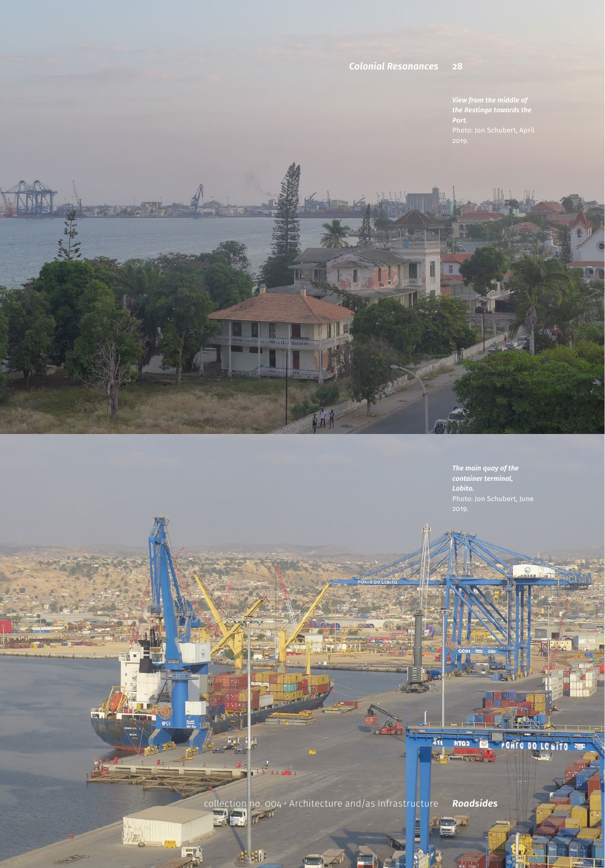## **28 Jon Schubert** *Colonial Resonances*

*View from the middle of the Restinga towards the Port.* 

*The main quay of the container terminal, Lobito.*

collection no. 004 • Architecture and/as Infrastructure *Roadsides*

 $\pm\sqrt{3}$  and  $\pm\sqrt{3}$ 

**Bill** 

副

411

**RTG3** 

**ACTOR** 

PORTO DO LOBITO ZE

m.

 $\ln$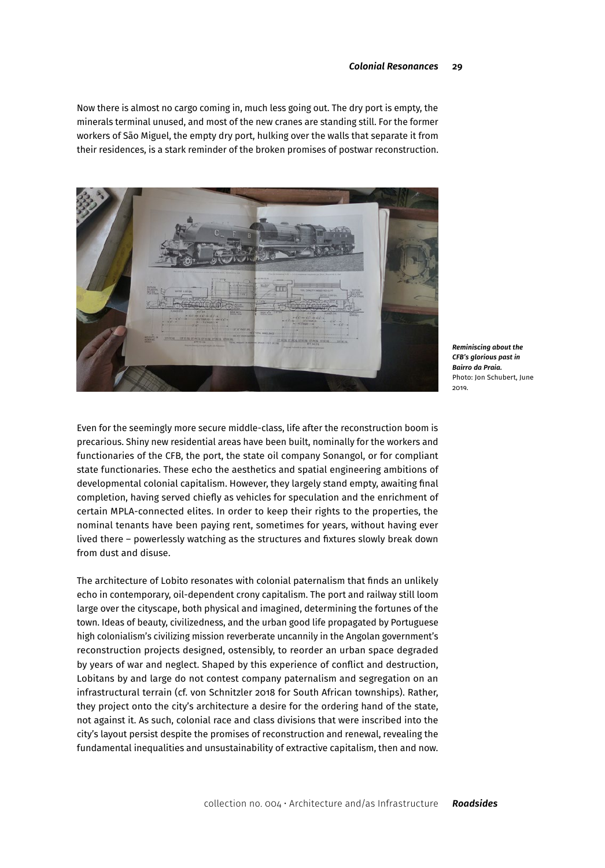Now there is almost no cargo coming in, much less going out. The dry port is empty, the minerals terminal unused, and most of the new cranes are standing still. For the former workers of São Miguel, the empty dry port, hulking over the walls that separate it from their residences, is a stark reminder of the broken promises of postwar reconstruction.



*Reminiscing about the CFB's glorious past in Bairro da Praia.* Photo: Jon Schubert, June 2019.

Even for the seemingly more secure middle-class, life after the reconstruction boom is precarious. Shiny new residential areas have been built, nominally for the workers and functionaries of the CFB, the port, the state oil company Sonangol, or for compliant state functionaries. These echo the aesthetics and spatial engineering ambitions of developmental colonial capitalism. However, they largely stand empty, awaiting final completion, having served chiefly as vehicles for speculation and the enrichment of certain MPLA-connected elites. In order to keep their rights to the properties, the nominal tenants have been paying rent, sometimes for years, without having ever lived there – powerlessly watching as the structures and fixtures slowly break down from dust and disuse.

The architecture of Lobito resonates with colonial paternalism that finds an unlikely echo in contemporary, oil-dependent crony capitalism. The port and railway still loom large over the cityscape, both physical and imagined, determining the fortunes of the town. Ideas of beauty, civilizedness, and the urban good life propagated by Portuguese high colonialism's civilizing mission reverberate uncannily in the Angolan government's reconstruction projects designed, ostensibly, to reorder an urban space degraded by years of war and neglect. Shaped by this experience of conflict and destruction, Lobitans by and large do not contest company paternalism and segregation on an infrastructural terrain (cf. von Schnitzler 2018 for South African townships). Rather, they project onto the city's architecture a desire for the ordering hand of the state, not against it. As such, colonial race and class divisions that were inscribed into the city's layout persist despite the promises of reconstruction and renewal, revealing the fundamental inequalities and unsustainability of extractive capitalism, then and now.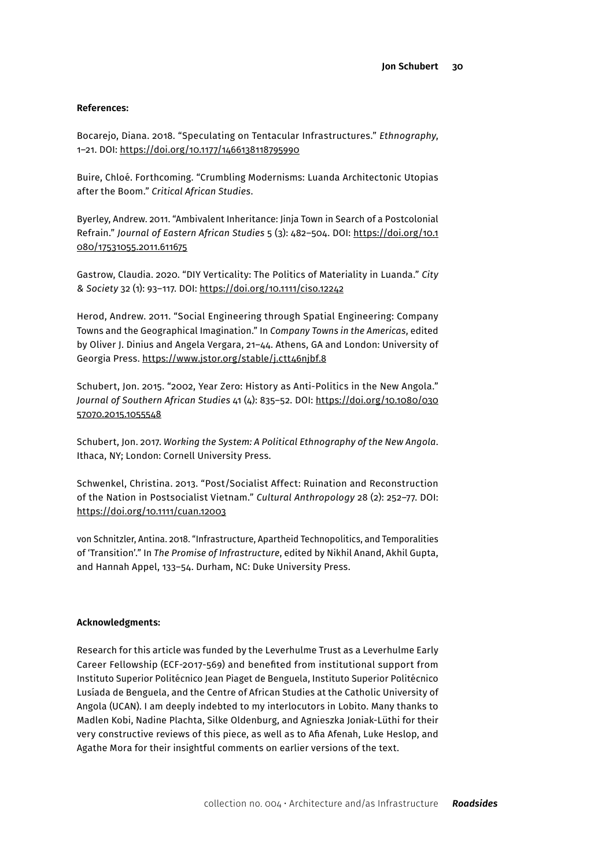### **References:**

Bocarejo, Diana. 2018. "Speculating on Tentacular Infrastructures." *Ethnography*, 1–21. DOI:<https://doi.org/10.1177/1466138118795990>

Buire, Chloé. Forthcoming. "Crumbling Modernisms: Luanda Architectonic Utopias after the Boom." *Critical African Studies*.

Byerley, Andrew. 2011. "Ambivalent Inheritance: Jinja Town in Search of a Postcolonial Refrain." *Journal of Eastern African Studies* 5 (3): 482–504. DOI: [https://doi.org/10.1](https://doi.org/10.1080/17531055.2011.611675) [080/17531055.2011.611675](https://doi.org/10.1080/17531055.2011.611675)

Gastrow, Claudia. 2020. "DIY Verticality: The Politics of Materiality in Luanda." *City & Society* 32 (1): 93–117. DOI:<https://doi.org/10.1111/ciso.12242>

Herod, Andrew. 2011. "Social Engineering through Spatial Engineering: Company Towns and the Geographical Imagination." In *Company Towns in the Americas*, edited by Oliver J. Dinius and Angela Vergara, 21–44. Athens, GA and London: University of Georgia Press. <https://www.jstor.org/stable/j.ctt46njbf.8>

Schubert, Jon. 2015. "2002, Year Zero: History as Anti-Politics in the New Angola." *Journal of Southern African Studies* 41 (4): 835–52. DOI: [https://doi.org/10.1080/030](https://doi.org/10.1080/03057070.2015.1055548) [57070.2015.1055548](https://doi.org/10.1080/03057070.2015.1055548)

Schubert, Jon. 2017. *Working the System: A Political Ethnography of the New Angola*. Ithaca, NY; London: Cornell University Press.

Schwenkel, Christina. 2013. "Post/Socialist Affect: Ruination and Reconstruction of the Nation in Postsocialist Vietnam." *Cultural Anthropology* 28 (2): 252–77. DOI: <https://doi.org/10.1111/cuan.12003>

von Schnitzler, Antina. 2018. "Infrastructure, Apartheid Technopolitics, and Temporalities of 'Transition'." In *The Promise of Infrastructure*, edited by Nikhil Anand, Akhil Gupta, and Hannah Appel, 133–54. Durham, NC: Duke University Press.

## **Acknowledgments:**

Research for this article was funded by the Leverhulme Trust as a Leverhulme Early Career Fellowship (ECF-2017-569) and benefited from institutional support from Instituto Superior Politécnico Jean Piaget de Benguela, Instituto Superior Politécnico Lusíada de Benguela, and the Centre of African Studies at the Catholic University of Angola (UCAN). I am deeply indebted to my interlocutors in Lobito. Many thanks to Madlen Kobi, Nadine Plachta, Silke Oldenburg, and Agnieszka Joniak-Lüthi for their very constructive reviews of this piece, as well as to Afia Afenah, Luke Heslop, and Agathe Mora for their insightful comments on earlier versions of the text.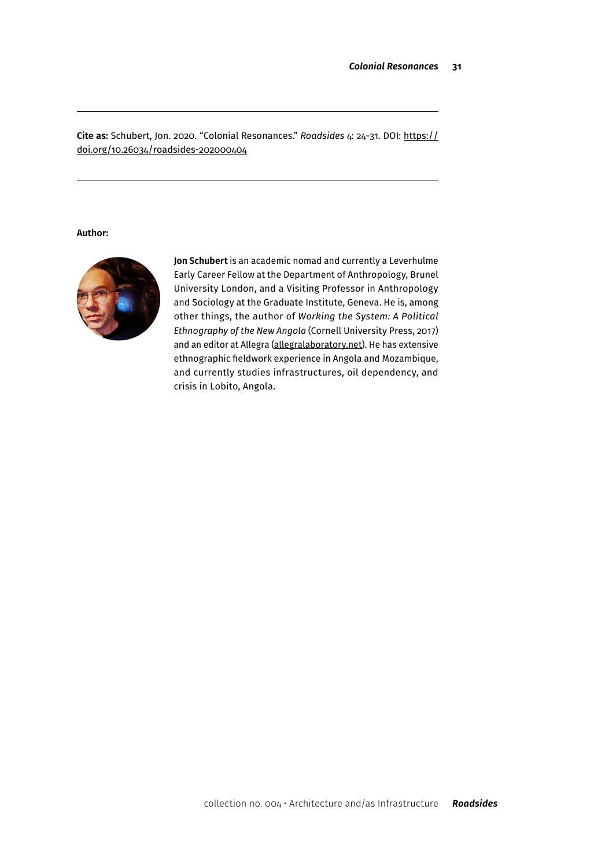**Cite as:** Schubert, Jon. 2020. "Colonial Resonances." *Roadsides* 4: 24-31. DOI: [https://](https://doi.org/10.26034/roadsides-202000404) [doi.org/10.26034/roadsides-202000404](https://doi.org/10.26034/roadsides-202000404)

**Author:**



**Jon Schubert** is an academic nomad and currently a Leverhulme Early Career Fellow at the Department of Anthropology, Brunel University London, and a Visiting Professor in Anthropology and Sociology at the Graduate Institute, Geneva. He is, among other things, the author of *Working the System: A Political Ethnography of the New Angola* (Cornell University Press, 2017) and an editor at Allegra [\(allegralaboratory.net](https://allegralaboratory.net)). He has extensive ethnographic fieldwork experience in Angola and Mozambique, and currently studies infrastructures, oil dependency, and crisis in Lobito, Angola.